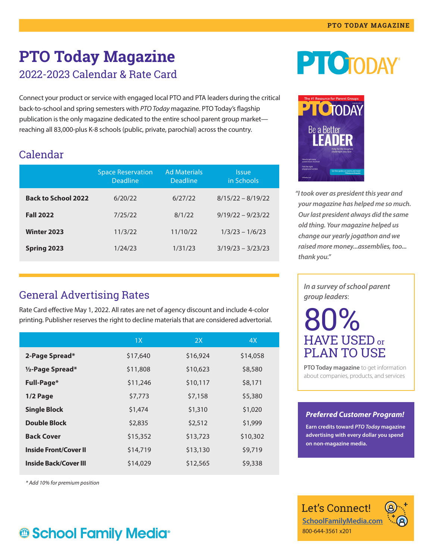### **PTO Today Magazine** 2022-2023 Calendar & Rate Card

Connect your product or service with engaged local PTO and PTA leaders during the critical back-to-school and spring semesters with *PTO Today* magazine. PTO Today's flagship publication is the only magazine dedicated to the entire school parent group market reaching all 83,000-plus K-8 schools (public, private, parochial) across the country.

### Calendar

|                            | <b>Space Reservation</b><br><b>Deadline</b> | <b>Ad Materials</b><br>Deadline | <i><u><b>Issue</b></u></i><br>in Schools |
|----------------------------|---------------------------------------------|---------------------------------|------------------------------------------|
| <b>Back to School 2022</b> | 6/20/22                                     | 6/27/22                         | $8/15/22 - 8/19/22$                      |
| <b>Fall 2022</b>           | 7/25/22                                     | 8/1/22                          | $9/19/22 - 9/23/22$                      |
| <b>Winter 2023</b>         | 11/3/22                                     | 11/10/22                        | $1/3/23 - 1/6/23$                        |
| Spring 2023                | 1/24/23                                     | 1/31/23                         | $3/19/23 - 3/23/23$                      |

### General Advertising Rates

Rate Card effective May 1, 2022. All rates are net of agency discount and include 4-color printing. Publisher reserves the right to decline materials that are considered advertorial.

|                              | 1X       | 2X       | 4X       |
|------------------------------|----------|----------|----------|
| 2-Page Spread*               | \$17,640 | \$16,924 | \$14,058 |
| $1/2$ -Page Spread*          | \$11,808 | \$10,623 | \$8,580  |
| <b>Full-Page*</b>            | \$11,246 | \$10,117 | \$8,171  |
| 1/2 Page                     | \$7,773  | \$7,158  | \$5,380  |
| <b>Single Block</b>          | \$1,474  | \$1,310  | \$1,020  |
| <b>Double Block</b>          | \$2,835  | \$2,512  | \$1,999  |
| <b>Back Cover</b>            | \$15,352 | \$13,723 | \$10,302 |
| <b>Inside Front/Cover II</b> | \$14,719 | \$13,130 | \$9,719  |
| <b>Inside Back/Cover III</b> | \$14,029 | \$12,565 | \$9,338  |

*\* Add 10% for premium position* 

# **@ School Family Media®**





*"I took over as president this year and your magazine has helped me so much. Our last president always did the same old thing. Your magazine helped us change our yearly jogathon and we raised more money...assemblies, too... thank you."*

*In a survey of school parent group leaders*:

# 80%  ${\rm HAVE}$  USED or PLAN TO USE

**PTO Today magazine** to get information about companies, products, and services

#### *Preferred Customer Program!*

**Earn credits toward** *PTO Today* **magazine advertising with every dollar you spend on non-magazine media.**

Let's Connect! **[SchoolFamilyMedia.com](http://SchoolFamilyMedia.com)** 800-644-3561 x201